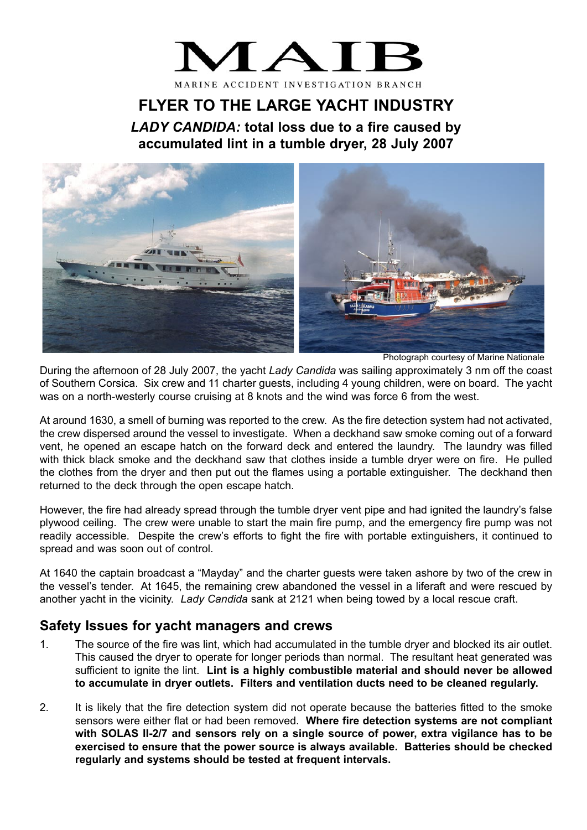## MA<sup>®</sup> MARINE ACCIDENT INVESTIGATION BRANCH

## **FLYER TO THE LARGE YACHT INDUSTRY**

*LADY CANDIDA:* **total loss due to a fire caused by accumulated lint in a tumble dryer, 28 July 2007**



Photograph courtesy of Marine Nationale

During the afternoon of 28 July 2007, the yacht *Lady Candida* was sailing approximately 3 nm off the coast of Southern Corsica. Six crew and 11 charter guests, including 4 young children, were on board. The yacht was on a north-westerly course cruising at 8 knots and the wind was force 6 from the west.

At around 1630, a smell of burning was reported to the crew. As the fire detection system had not activated, the crew dispersed around the vessel to investigate. When a deckhand saw smoke coming out of a forward vent, he opened an escape hatch on the forward deck and entered the laundry. The laundry was filled with thick black smoke and the deckhand saw that clothes inside a tumble dryer were on fire. He pulled the clothes from the dryer and then put out the flames using a portable extinguisher. The deckhand then returned to the deck through the open escape hatch.

However, the fire had already spread through the tumble dryer vent pipe and had ignited the laundry's false plywood ceiling. The crew were unable to start the main fire pump, and the emergency fire pump was not readily accessible. Despite the crew's efforts to fight the fire with portable extinguishers, it continued to spread and was soon out of control.

At 1640 the captain broadcast a "Mayday" and the charter guests were taken ashore by two of the crew in the vessel's tender. At 1645, the remaining crew abandoned the vessel in a liferaft and were rescued by another yacht in the vicinity. *Lady Candida* sank at 2121 when being towed by a local rescue craft.

## **Safety Issues for yacht managers and crews**

- 1. The source of the fire was lint, which had accumulated in the tumble dryer and blocked its air outlet. This caused the dryer to operate for longer periods than normal. The resultant heat generated was sufficient to ignite the lint. **Lint is a highly combustible material and should never be allowed to accumulate in dryer outlets. Filters and ventilation ducts need to be cleaned regularly.**
- 2. It is likely that the fire detection system did not operate because the batteries fitted to the smoke sensors were either flat or had been removed. **Where fire detection systems are not compliant with SOLAS II-2/7 and sensors rely on a single source of power, extra vigilance has to be exercised to ensure that the power source is always available. Batteries should be checked regularly and systems should be tested at frequent intervals.**